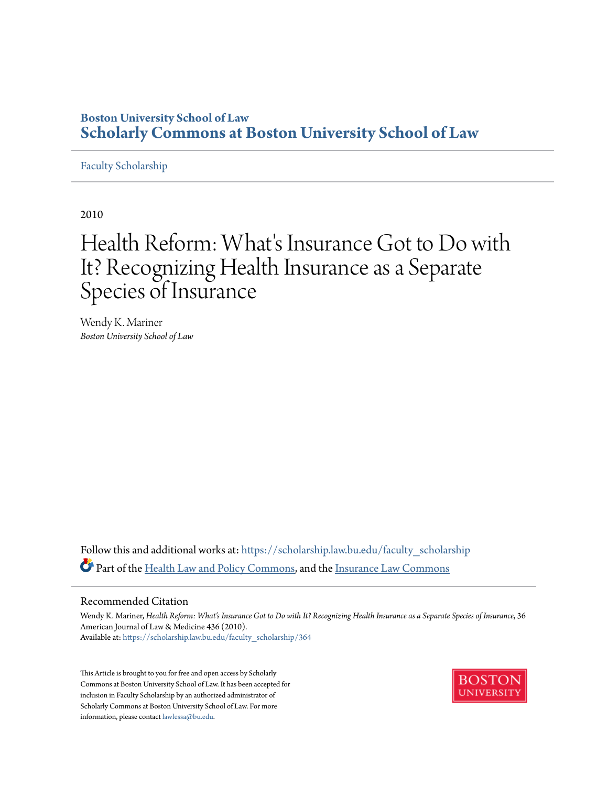### **Boston University School of Law [Scholarly Commons at Boston University School of Law](https://scholarship.law.bu.edu?utm_source=scholarship.law.bu.edu%2Ffaculty_scholarship%2F364&utm_medium=PDF&utm_campaign=PDFCoverPages)**

### [Faculty Scholarship](https://scholarship.law.bu.edu/faculty_scholarship?utm_source=scholarship.law.bu.edu%2Ffaculty_scholarship%2F364&utm_medium=PDF&utm_campaign=PDFCoverPages)

2010

# Health Reform: What's Insurance Got to Do with It? Recognizing Health Insurance as a Separate Species of Insurance

Wendy K. Mariner *Boston University School of Law*

Follow this and additional works at: [https://scholarship.law.bu.edu/faculty\\_scholarship](https://scholarship.law.bu.edu/faculty_scholarship?utm_source=scholarship.law.bu.edu%2Ffaculty_scholarship%2F364&utm_medium=PDF&utm_campaign=PDFCoverPages) Part of the [Health Law and Policy Commons](http://network.bepress.com/hgg/discipline/901?utm_source=scholarship.law.bu.edu%2Ffaculty_scholarship%2F364&utm_medium=PDF&utm_campaign=PDFCoverPages), and the [Insurance Law Commons](http://network.bepress.com/hgg/discipline/607?utm_source=scholarship.law.bu.edu%2Ffaculty_scholarship%2F364&utm_medium=PDF&utm_campaign=PDFCoverPages)

#### Recommended Citation

Wendy K. Mariner, *Health Reform: What's Insurance Got to Do with It? Recognizing Health Insurance as a Separate Species of Insurance*, 36 American Journal of Law & Medicine 436 (2010). Available at: [https://scholarship.law.bu.edu/faculty\\_scholarship/364](https://scholarship.law.bu.edu/faculty_scholarship/364?utm_source=scholarship.law.bu.edu%2Ffaculty_scholarship%2F364&utm_medium=PDF&utm_campaign=PDFCoverPages)

This Article is brought to you for free and open access by Scholarly Commons at Boston University School of Law. It has been accepted for inclusion in Faculty Scholarship by an authorized administrator of Scholarly Commons at Boston University School of Law. For more information, please contact [lawlessa@bu.edu.](mailto:lawlessa@bu.edu)

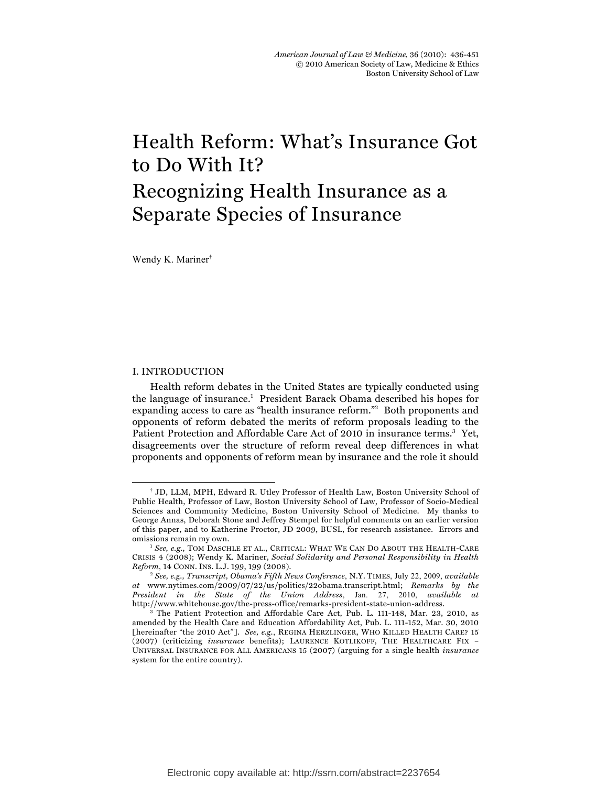## Health Reform: What's Insurance Got to Do With It? Recognizing Health Insurance as a Separate Species of Insurance

Wendy K. Mariner†

#### I. INTRODUCTION

Health reform debates in the United States are typically conducted using the language of insurance.<sup>1</sup> President Barack Obama described his hopes for expanding access to care as "health insurance reform."<sup>2</sup> Both proponents and opponents of reform debated the merits of reform proposals leading to the Patient Protection and Affordable Care Act of 2010 in insurance terms.<sup>3</sup> Yet, disagreements over the structure of reform reveal deep differences in what proponents and opponents of reform mean by insurance and the role it should

 <sup>†</sup> JD, LLM, MPH, Edward R. Utley Professor of Health Law, Boston University School of Public Health, Professor of Law, Boston University School of Law, Professor of Socio-Medical Sciences and Community Medicine, Boston University School of Medicine. My thanks to George Annas, Deborah Stone and Jeffrey Stempel for helpful comments on an earlier version of this paper, and to Katherine Proctor, JD 2009, BUSL, for research assistance. Errors and omissions remain my own.

<sup>1</sup> *See, e.g.*, TOM DASCHLE ET AL., CRITICAL: WHAT WE CAN DO ABOUT THE HEALTH-CARE CRISIS 4 (2008); Wendy K. Mariner, *Social Solidarity and Personal Responsibility in Health Reform*, 14 CONN. INS. L.J. 199, 199 (2008).

<sup>2</sup> *See, e.g., Transcript, Obama's Fifth News Conference*, N.Y. TIMES, July 22, 2009, *available at* www.nytimes.com/2009/07/22/us/politics/22obama.transcript.html; *Remarks by the President in the State of the Union Address*, Jan. 27, 2010, *available at* http://www.whitehouse.gov/the-press-office/remarks-president-state-union-address.

<sup>3</sup> The Patient Protection and Affordable Care Act, Pub. L. 111-148, Mar. 23, 2010, as amended by the Health Care and Education Affordability Act, Pub. L. 111-152, Mar. 30, 2010 [hereinafter "the 2010 Act"]. *See, e.g.*, REGINA HERZLINGER, WHO KILLED HEALTH CARE? 15 (2007) (criticizing *insurance* benefits); LAURENCE KOTLIKOFF, THE HEALTHCARE FIX – UNIVERSAL INSURANCE FOR ALL AMERICANS 15 (2007) (arguing for a single health *insurance*  system for the entire country).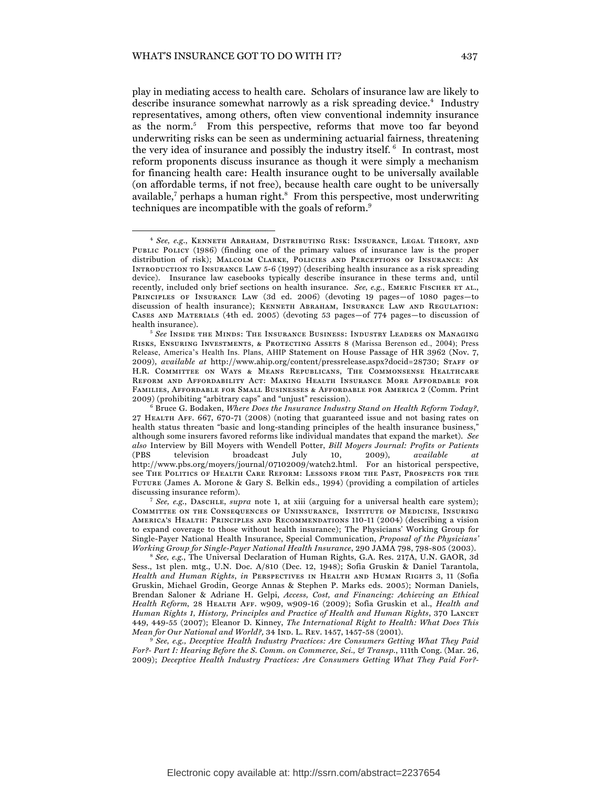$\overline{a}$ 

play in mediating access to health care. Scholars of insurance law are likely to describe insurance somewhat narrowly as a risk spreading device.4 Industry representatives, among others, often view conventional indemnity insurance as the norm.<sup>5</sup> From this perspective, reforms that move too far beyond underwriting risks can be seen as undermining actuarial fairness, threatening the very idea of insurance and possibly the industry itself. <sup>6</sup> In contrast, most reform proponents discuss insurance as though it were simply a mechanism for financing health care: Health insurance ought to be universally available (on affordable terms, if not free), because health care ought to be universally available,<sup>7</sup> perhaps a human right.<sup>8</sup> From this perspective, most underwriting techniques are incompatible with the goals of reform.<sup>9</sup>

<sup>4</sup> *See, e.g*., Kenneth Abraham, Distributing Risk: Insurance, Legal Theory, and PUBLIC POLICY (1986) (finding one of the primary values of insurance law is the proper distribution of risk); Malcolm Clarke, Policies and Perceptions of Insurance: An Introduction to Insurance Law 5-6 (1997) (describing health insurance as a risk spreading device). Insurance law casebooks typically describe insurance in these terms and, until recently, included only brief sections on health insurance. See, e.g., EMERIC FISCHER ET AL., Principles of Insurance Law (3d ed. 2006) (devoting 19 pages—of 1080 pages—to discussion of health insurance); Kenneth Abraham, Insurance Law and Regulation: Cases and Materials (4th ed. 2005) (devoting 53 pages—of 774 pages—to discussion of health insurance).

<sup>5</sup> *See* Inside the Minds: The Insurance Business: Industry Leaders on Managing Risks, Ensuring Investments, & Protecting Assets 8 (Marissa Berenson ed., 2004); Press Release, America's Health Ins. Plans, AHIP Statement on House Passage of HR 3962 (Nov. 7, 2009), *available at* http://www.ahip.org/content/pressrelease.aspx?docid=28730; Staff of H.R. Committee on Ways & Means Republicans, The Commonsense Healthcare Reform and Affordability Act: Making Health Insurance More Affordable for Families, Affordable for Small Businesses & Affordable for America 2 (Comm. Print 2009) (prohibiting "arbitrary caps" and "unjust" rescission).

<sup>6</sup> Bruce G. Bodaken, *Where Does the Insurance Industry Stand on Health Reform Today?*,  $27$  HEALTH AFF. 667, 670-71 (2008) (noting that guaranteed issue and not basing rates on health status threaten "basic and long-standing principles of the health insurance business," although some insurers favored reforms like individual mandates that expand the market). *See also* Interview by Bill Moyers with Wendell Potter, *Bill Moyers Journal: Profits or Patients* (PBS television broadcast July 10, 2009), *available* http://www.pbs.org/moyers/journal/07102009/watch2.html. For an historical perspective, see The Politics of Health Care Reform: Lessons from the Past, Prospects for the Future (James A. Morone & Gary S. Belkin eds., 1994) (providing a compilation of articles discussing insurance reform).

<sup>&</sup>lt;sup>7</sup> See, e.g., DASCHLE, *supra* note 1, at xiii (arguing for a universal health care system); Committee on the Consequences of Uninsurance, Institute of Medicine, Insuring America's Health: Principles and Recommendations 110-11 (2004) (describing a vision to expand coverage to those without health insurance); The Physicians' Working Group for Single-Payer National Health Insurance, Special Communication, *Proposal of the Physicians' Working Group for Single-Payer National Health Insurance*, 290 JAMA 798, 798-805 (2003).

<sup>8</sup> *See, e.g.*, The Universal Declaration of Human Rights, G.A. Res. 217A, U.N. GAOR, 3d Sess., 1st plen. mtg., U.N. Doc. A/810 (Dec. 12, 1948); Sofia Gruskin & Daniel Tarantola, *Health and Human Rights*, *in* Perspectives in Health and Human Rights 3, 11 (Sofia Gruskin, Michael Grodin, George Annas & Stephen P. Marks eds. 2005); Norman Daniels, Brendan Saloner & Adriane H. Gelpi, *Access, Cost, and Financing: Achieving an Ethical Health Reform,* 28 Health Aff. w909, w909-16 (2009); Sofia Gruskin et al., *Health and Human Rights 1, History, Principles and Practice of Health and Human Rights*, 370 Lancet 449, 449-55 (2007); Eleanor D. Kinney, *The International Right to Health: What Does This Mean for Our National and World?, 34 Inp. L. Rev. 1457, 1457-58 (2001).* 

<sup>9</sup> *See, e.g., Deceptive Health Industry Practices: Are Consumers Getting What They Paid For?- Part I: Hearing Before the S. Comm. on Commerce, Sci., & Transp.*, 111th Cong. (Mar. 26, 2009); *Deceptive Health Industry Practices: Are Consumers Getting What They Paid For?-*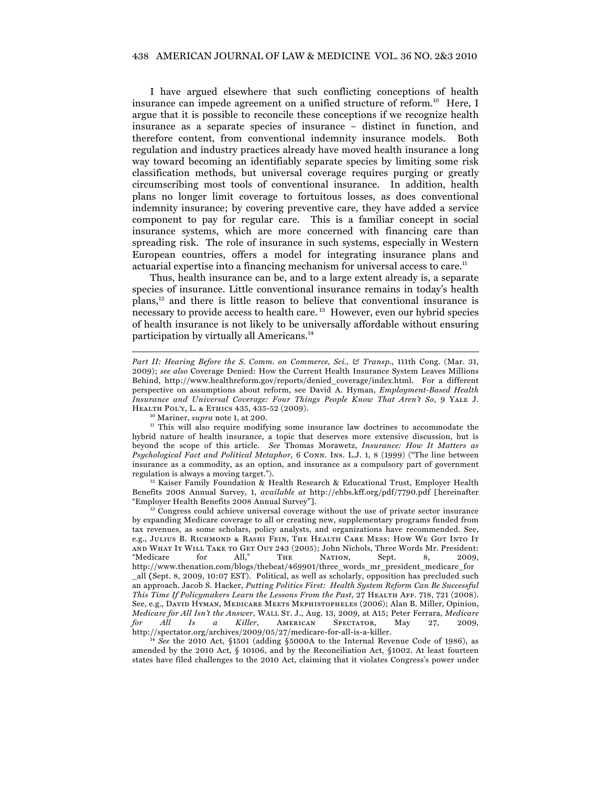I have argued elsewhere that such conflicting conceptions of health insurance can impede agreement on a unified structure of reform.10 Here, I argue that it is possible to reconcile these conceptions if we recognize health insurance as a separate species of insurance – distinct in function, and therefore content, from conventional indemnity insurance models. Both regulation and industry practices already have moved health insurance a long way toward becoming an identifiably separate species by limiting some risk classification methods, but universal coverage requires purging or greatly circumscribing most tools of conventional insurance. In addition, health plans no longer limit coverage to fortuitous losses, as does conventional indemnity insurance; by covering preventive care, they have added a service component to pay for regular care. This is a familiar concept in social insurance systems, which are more concerned with financing care than spreading risk. The role of insurance in such systems, especially in Western European countries, offers a model for integrating insurance plans and actuarial expertise into a financing mechanism for universal access to care.<sup>11</sup>

Thus, health insurance can be, and to a large extent already is, a separate species of insurance. Little conventional insurance remains in today's health plans,12 and there is little reason to believe that conventional insurance is necessary to provide access to health care. <sup>13</sup> However, even our hybrid species of health insurance is not likely to be universally affordable without ensuring participation by virtually all Americans.14

 $\overline{a}$ 

 $12$  Kaiser Family Foundation & Health Research & Educational Trust, Employer Health Benefits 2008 Annual Survey, 1, *available at* http://ehbs.kff.org/pdf/7790.pdf [hereinafter "Employer Health Benefits 2008 Annual Survey"]. 13 Congress could achieve universal coverage without the use of private sector insurance

*Part II: Hearing Before the S. Comm. on Commerce, Sci., & Transp.*, 111th Cong. (Mar. 31, 2009); *see also* Coverage Denied: How the Current Health Insurance System Leaves Millions Behind, http://www.healthreform.gov/reports/denied\_coverage/index.html. For a different perspective on assumptions about reform, see David A. Hyman, *Employment-Based Health Insurance and Universal Coverage: Four Things People Know That Aren't So*, 9 Yale J. Health Pol'y, L. & Ethics 435, 435-52 (2009).

<sup>10</sup> Mariner, *supra* note 1, at 200.

 $11$  This will also require modifying some insurance law doctrines to accommodate the hybrid nature of health insurance, a topic that deserves more extensive discussion, but is beyond the scope of this article. *See* Thomas Morawetz, *Insurance: How It Matters as Psychological Fact and Political Metaphor*, 6 Conn. Ins. L.J. 1, 8 (1999) ("The line between insurance as a commodity, as an option, and insurance as a compulsory part of government regulation is always a moving target.").

by expanding Medicare coverage to all or creating new, supplementary programs funded from tax revenues, as some scholars, policy analysts, and organizations have recommended. See, e.g., Julius B. Richmond & Rashi Fein, The Health Care Mess: How We Got Into It and What It Will Take to Get Out 243 (2005); John Nichols, Three Words Mr. President: "Medicare for All," The Nation, Sept. 8, 2009, http://www.thenation.com/blogs/thebeat/469901/three\_words\_mr\_president\_medicare\_for \_all (Sept. 8, 2009, 10:07 EST). Political, as well as scholarly, opposition has precluded such an approach. Jacob S. Hacker, *Putting Politics First: Health System Reform Can Be Successful This Time If Policymakers Learn the Lessons From the Past*,  $27$  HEALTH AFF. 718, 721 (2008). See, e.g., DAVID HYMAN, MEDICARE MEETS MEPHISTOPHELES (2006); Alan B. Miller, Opinion, *Medicare for All Isn't the Answer*, WALL ST. J., Aug. 13, 2009, at A15; Peter Ferrara, *Medicare for All Is a Killer*, AMERICAN SPECTATOR, May 27, 2009, http://spectator.org/archives/2009/05/27/medicare-for-all-is-a-killer.

<sup>&</sup>lt;sup>4</sup> See the 2010 Act, §1501 (adding §5000A to the Internal Revenue Code of 1986), as amended by the 2010 Act, § 10106, and by the Reconciliation Act, §1002. At least fourteen states have filed challenges to the 2010 Act, claiming that it violates Congress's power under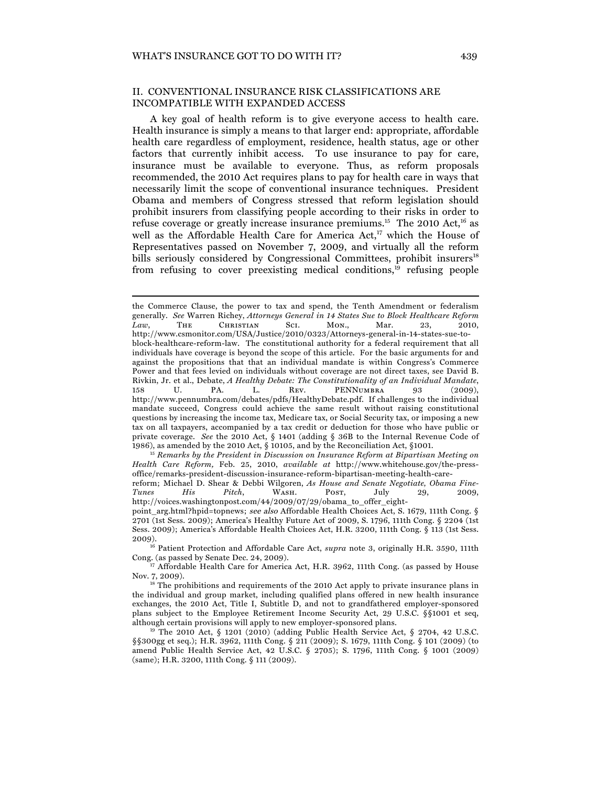$\overline{a}$ 

#### II. CONVENTIONAL INSURANCE RISK CLASSIFICATIONS ARE INCOMPATIBLE WITH EXPANDED ACCESS

A key goal of health reform is to give everyone access to health care. Health insurance is simply a means to that larger end: appropriate, affordable health care regardless of employment, residence, health status, age or other factors that currently inhibit access. To use insurance to pay for care, insurance must be available to everyone. Thus, as reform proposals recommended, the 2010 Act requires plans to pay for health care in ways that necessarily limit the scope of conventional insurance techniques. President Obama and members of Congress stressed that reform legislation should prohibit insurers from classifying people according to their risks in order to refuse coverage or greatly increase insurance premiums.<sup>15</sup> The 2010 Act,<sup>16</sup> as well as the Affordable Health Care for America Act,<sup>17</sup> which the House of Representatives passed on November 7, 2009, and virtually all the reform bills seriously considered by Congressional Committees, prohibit insurers<sup>18</sup> from refusing to cover preexisting medical conditions, $^{19}$  refusing people

<sup>15</sup> *Remarks by the President in Discussion on Insurance Reform at Bipartisan Meeting on Health Care Reform*, Feb. 25, 2010, *available at* http://www.whitehouse.gov/the-pressoffice/remarks-president-discussion-insurance-reform-bipartisan-meeting-health-care-

reform; Michael D. Shear & Debbi Wilgoren, *As House and Senate Negotiate, Obama Fine-Tunes His Pitch*, Wash. Post, July 29, 2009, http://voices.washingtonpost.com/44/2009/07/29/obama\_to\_offer\_eight-

point arg.html?hpid=topnews; see also Affordable Health Choices Act, S. 1679, 111th Cong. § 2701 (1st Sess. 2009); America's Healthy Future Act of 2009, S. 1796, 111th Cong. § 2204 (1st Sess. 2009); America's Affordable Health Choices Act, H.R. 3200, 111th Cong. § 113 (1st Sess.

2009). 16 Patient Protection and Affordable Care Act, *supra* note 3, originally H.R. 3590, 111th Cong. (as passed by Senate Dec. 24, 2009).

<sup>17</sup> Affordable Health Care for America Act, H.R. 3962, 111th Cong. (as passed by House Nov. 7, 2009).

<sup>18</sup> The prohibitions and requirements of the 2010 Act apply to private insurance plans in the individual and group market, including qualified plans offered in new health insurance exchanges, the 2010 Act, Title I, Subtitle D, and not to grandfathered employer-sponsored plans subject to the Employee Retirement Income Security Act, 29 U.S.C. §§1001 et seq, although certain provisions will apply to new employer-sponsored plans.

<sup>19</sup> The 2010 Act, § 1201 (2010) (adding Public Health Service Act, § 2704, 42 U.S.C. §§300gg et seq.); H.R. 3962, 111th Cong. § 211 (2009); S. 1679, 111th Cong. § 101 (2009) (to amend Public Health Service Act, 42 U.S.C. § 2705); S. 1796, 111th Cong. § 1001 (2009) (same); H.R. 3200, 111th Cong. § 111 (2009).

the Commerce Clause, the power to tax and spend, the Tenth Amendment or federalism generally. *See* Warren Richey, *Attorneys General in 14 States Sue to Block Healthcare Reform Law*, The Christian Sci. Mon., Mar. 23, 2010, http://www.csmonitor.com/USA/Justice/2010/0323/Attorneys-general-in-14-states-sue-toblock-healthcare-reform-law. The constitutional authority for a federal requirement that all individuals have coverage is beyond the scope of this article. For the basic arguments for and against the propositions that that an individual mandate is within Congress's Commerce Power and that fees levied on individuals without coverage are not direct taxes, see David B. Rivkin, Jr. et al., Debate, *A Healthy Debate: The Constitutionality of an Individual Mandate*, 158 U. PA. L. Rev. PENNumbra 93 (2009), http://www.pennumbra.com/debates/pdfs/HealthyDebate.pdf. If challenges to the individual mandate succeed, Congress could achieve the same result without raising constitutional questions by increasing the income tax, Medicare tax, or Social Security tax, or imposing a new tax on all taxpayers, accompanied by a tax credit or deduction for those who have public or private coverage. *See* the 2010 Act, § 1401 (adding § 36B to the Internal Revenue Code of 1986), as amended by the 2010 Act, § 10105, and by the Reconciliation Act, §1001.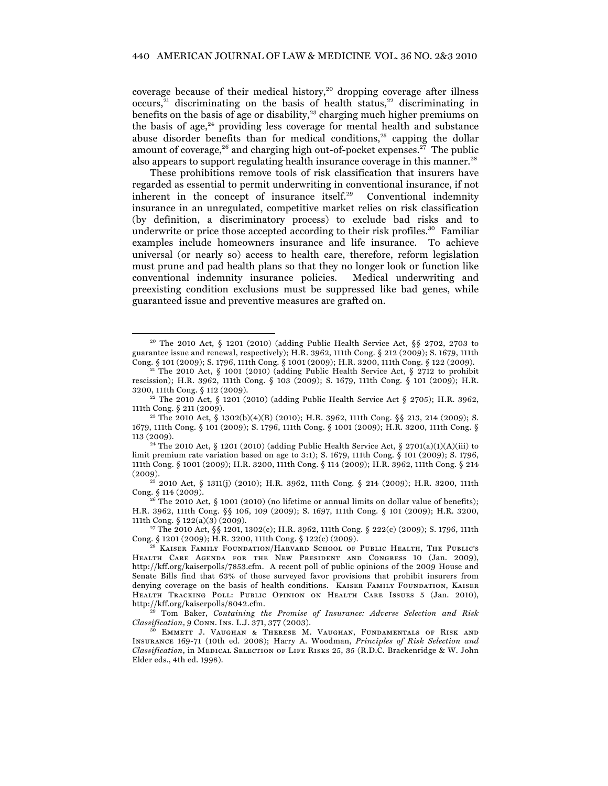coverage because of their medical history,<sup>20</sup> dropping coverage after illness occurs,<sup>21</sup> discriminating on the basis of health status,<sup>22</sup> discriminating in benefits on the basis of age or disability,<sup>23</sup> charging much higher premiums on the basis of age, $24$  providing less coverage for mental health and substance abuse disorder benefits than for medical conditions, $25$  capping the dollar amount of coverage, $26$  and charging high out-of-pocket expenses. $27$  The public also appears to support regulating health insurance coverage in this manner.<sup>28</sup>

These prohibitions remove tools of risk classification that insurers have regarded as essential to permit underwriting in conventional insurance, if not inherent in the concept of insurance itself.29 Conventional indemnity insurance in an unregulated, competitive market relies on risk classification (by definition, a discriminatory process) to exclude bad risks and to underwrite or price those accepted according to their risk profiles.<sup>30</sup> Familiar examples include homeowners insurance and life insurance. To achieve universal (or nearly so) access to health care, therefore, reform legislation must prune and pad health plans so that they no longer look or function like conventional indemnity insurance policies. Medical underwriting and preexisting condition exclusions must be suppressed like bad genes, while guaranteed issue and preventive measures are grafted on.

<sup>&</sup>lt;sup>20</sup> The 2010 Act,  $\S$  1201 (2010) (adding Public Health Service Act,  $\S$  2702, 2703 to guarantee issue and renewal, respectively); H.R. 3962, 111th Cong. § 212 (2009); S. 1679, 111th Cong. § 101 (2009); S. 1796, 111th Cong. § 1001 (2009); H.R. 3200, 111th Cong. § 122 (2009).

<sup>&</sup>lt;sup>21</sup> The 2010 Act, § 1001 (2010) (adding Public Health Service Act, § 2712 to prohibit rescission); H.R. 3962, 111th Cong. § 103 (2009); S. 1679, 111th Cong. § 101 (2009); H.R. 3200, 111th Cong. § 112 (2009).

<sup>&</sup>lt;sup>22</sup> The 2010 Act, § 1201 (2010) (adding Public Health Service Act § 2705); H.R. 3962, 111th Cong. § 211 (2009). 23 The 2010 Act, § 1302(b)(4)(B) (2010); H.R. 3962, 111th Cong. §§ 213, 214 (2009); S.

<sup>1679, 111</sup>th Cong. § 101 (2009); S. 1796, 111th Cong. § 1001 (2009); H.R. 3200, 111th Cong. § 113 (2009).

<sup>&</sup>lt;sup>24</sup> The 2010 Act, § 1201 (2010) (adding Public Health Service Act, § 2701(a)(1)(A)(iii) to limit premium rate variation based on age to 3:1); S. 1679, 111th Cong. § 101 (2009); S. 1796, 111th Cong. § 1001 (2009); H.R. 3200, 111th Cong. § 114 (2009); H.R. 3962, 111th Cong. § 214 (2009).

<sup>25 2010</sup> Act, § 1311(j) (2010); H.R. 3962, 111th Cong. § 214 (2009); H.R. 3200, 111th Cong. § 114 (2009).

 $^{26}$  The 2010 Act, § 1001 (2010) (no lifetime or annual limits on dollar value of benefits); H.R. 3962, 111th Cong. §§ 106, 109 (2009); S. 1697, 111th Cong. § 101 (2009); H.R. 3200, 111th Cong. § 122(a)(3) (2009).

<sup>27</sup> The 2010 Act, §§ 1201, 1302(c); H.R. 3962, 111th Cong. § 222(c) (2009); S. 1796, 111th Cong. § 1201 (2009); H.R. 3200, 111th Cong. § 122(c) (2009).

<sup>28</sup> Kaiser Family Foundation/Harvard School of Public Health, The Public's Health Care Agenda for the New President and Congress 10 (Jan. 2009), http://kff.org/kaiserpolls/7853.cfm. A recent poll of public opinions of the 2009 House and Senate Bills find that 63% of those surveyed favor provisions that prohibit insurers from denying coverage on the basis of health conditions. Kaiser Family Foundation, Kaiser Health Tracking Poll: Public Opinion on Health Care Issues 5 (Jan. 2010), http://kff.org/kaiserpolls/8042.cfm. 29 Tom Baker, *Containing the Promise of Insurance: Adverse Selection and Risk* 

*Classification*, 9 Conn. Ins. L.J. 371, 377 (2003).

<sup>&</sup>lt;sup>30</sup> EMMETT J. VAUGHAN & THERESE M. VAUGHAN, FUNDAMENTALS OF RISK AND Insurance 169-71 (10th ed. 2008); Harry A. Woodman, *Principles of Risk Selection and Classification*, in Medical Selection of Life Risks 25, 35 (R.D.C. Brackenridge & W. John Elder eds., 4th ed. 1998).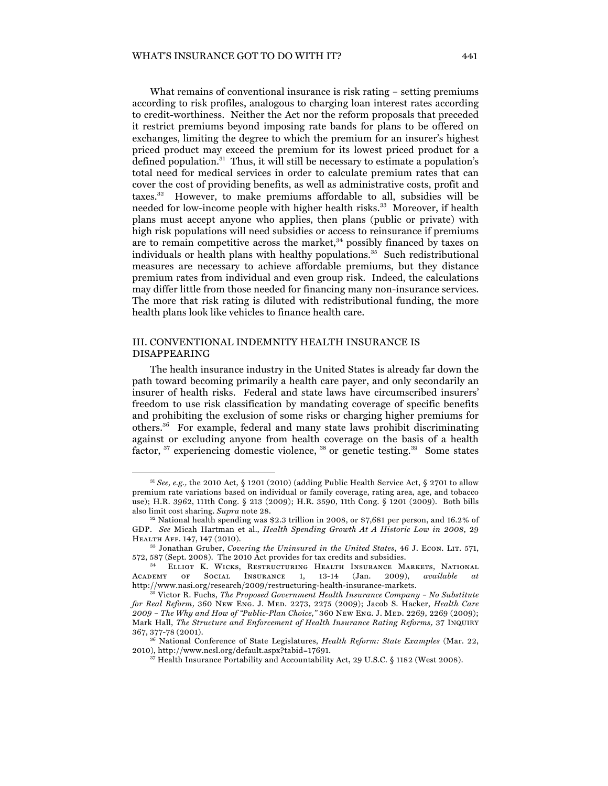#### WHAT'S INSURANCE GOT TO DO WITH IT? 441

What remains of conventional insurance is risk rating – setting premiums according to risk profiles, analogous to charging loan interest rates according to credit-worthiness. Neither the Act nor the reform proposals that preceded it restrict premiums beyond imposing rate bands for plans to be offered on exchanges, limiting the degree to which the premium for an insurer's highest priced product may exceed the premium for its lowest priced product for a defined population.<sup>31</sup> Thus, it will still be necessary to estimate a population's total need for medical services in order to calculate premium rates that can cover the cost of providing benefits, as well as administrative costs, profit and taxes.32 However, to make premiums affordable to all, subsidies will be needed for low-income people with higher health risks.<sup>33</sup> Moreover, if health plans must accept anyone who applies, then plans (public or private) with high risk populations will need subsidies or access to reinsurance if premiums are to remain competitive across the market, $34$  possibly financed by taxes on individuals or health plans with healthy populations. $35$  Such redistributional measures are necessary to achieve affordable premiums, but they distance premium rates from individual and even group risk. Indeed, the calculations may differ little from those needed for financing many non-insurance services. The more that risk rating is diluted with redistributional funding, the more health plans look like vehicles to finance health care.

#### III. CONVENTIONAL INDEMNITY HEALTH INSURANCE IS DISAPPEARING

 $\overline{a}$ 

The health insurance industry in the United States is already far down the path toward becoming primarily a health care payer, and only secondarily an insurer of health risks. Federal and state laws have circumscribed insurers' freedom to use risk classification by mandating coverage of specific benefits and prohibiting the exclusion of some risks or charging higher premiums for others.36 For example, federal and many state laws prohibit discriminating against or excluding anyone from health coverage on the basis of a health factor,  $37$  experiencing domestic violence,  $38$  or genetic testing.  $39$  Some states

<sup>31</sup> *See, e.g.*, the 2010 Act, § 1201 (2010) (adding Public Health Service Act, § 2701 to allow premium rate variations based on individual or family coverage, rating area, age, and tobacco use); H.R. 3962, 111th Cong. § 213 (2009); H.R. 3590, 11th Cong. § 1201 (2009). Both bills also limit cost sharing. *Supra* note 28.

<sup>32</sup> National health spending was \$2.3 trillion in 2008, or \$7,681 per person, and 16.2% of GDP. *See* Micah Hartman et al., *Health Spending Growth At A Historic Low in 2008*, 29 Health Aff. 147, 147 (2010).

<sup>33</sup> Jonathan Gruber, *Covering the Uninsured in the United States*, 46 J. Econ. Lit. 571, 572, 587 (Sept. 2008). The 2010 Act provides for tax credits and subsidies. 34 Elliot K. Wicks, Restructuring Health Insurance Markets, National

ACADEMY OF SOCIAL INSURANCE 1, 13-14 (Jan. 2009), *available at*<br>http://www.nasi.org/research/2009/restructuring-health-insurance-markets.

 $h_3$ <sup>35</sup> Victor R. Fuchs, *The Proposed Government Health Insurance Company - No Substitute for Real Reform*, 360 New Eng. J. Med. 2273, 2275 (2009); Jacob S. Hacker, *Health Care 2009 – The Why and How of "Public-Plan Choice,"* 360 New Eng. J. Med. 2269, 2269 (2009); Mark Hall, *The Structure and Enforcement of Health Insurance Rating Reforms*, 37 INQUIRY 367, 377-78 (2001).

<sup>36</sup> National Conference of State Legislatures, *Health Reform: State Examples* (Mar. 22, 2010), http://www.ncsl.org/default.aspx?tabid=17691. 37 Health Insurance Portability and Accountability Act, 29 U.S.C. § 1182 (West 2008).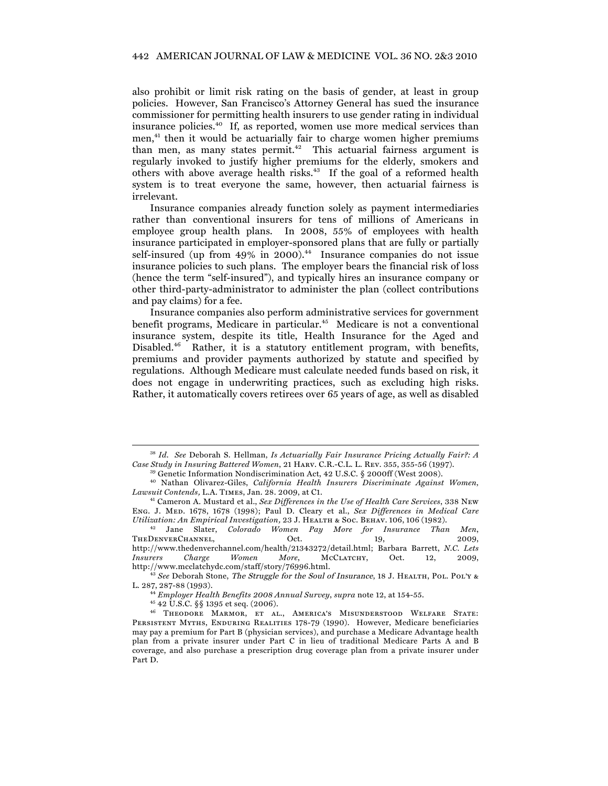also prohibit or limit risk rating on the basis of gender, at least in group policies. However, San Francisco's Attorney General has sued the insurance commissioner for permitting health insurers to use gender rating in individual insurance policies.40 If, as reported, women use more medical services than men,<sup>41</sup> then it would be actuarially fair to charge women higher premiums than men, as many states permit.<sup>42</sup> This actuarial fairness argument is regularly invoked to justify higher premiums for the elderly, smokers and others with above average health risks.<sup>43</sup> If the goal of a reformed health system is to treat everyone the same, however, then actuarial fairness is irrelevant.

Insurance companies already function solely as payment intermediaries rather than conventional insurers for tens of millions of Americans in employee group health plans. In 2008, 55% of employees with health insurance participated in employer-sponsored plans that are fully or partially self-insured (up from  $49\%$  in 2000).<sup>44</sup> Insurance companies do not issue insurance policies to such plans. The employer bears the financial risk of loss (hence the term "self-insured"), and typically hires an insurance company or other third-party-administrator to administer the plan (collect contributions and pay claims) for a fee.

Insurance companies also perform administrative services for government benefit programs, Medicare in particular.<sup>45</sup> Medicare is not a conventional insurance system, despite its title, Health Insurance for the Aged and Disabled.<sup>46</sup> Rather, it is a statutory entitlement program, with benefits, premiums and provider payments authorized by statute and specified by regulations. Although Medicare must calculate needed funds based on risk, it does not engage in underwriting practices, such as excluding high risks. Rather, it automatically covers retirees over 65 years of age, as well as disabled

<sup>38</sup> *Id*. *See* Deborah S. Hellman, *Is Actuarially Fair Insurance Pricing Actually Fair?: A Case Study in Insuring Battered Women*, 21 Harv. C.R.-C.L. L. Rev. 355, 355-56 (1997).

<sup>39</sup> Genetic Information Nondiscrimination Act, 42 U.S.C. § 2000ff (West 2008).

<sup>40</sup> Nathan Olivarez-Giles, *California Health Insurers Discriminate Against Women, Lawsuit Contends*, L.A. Times, Jan. 28. 2009, at C1.

<sup>41</sup> Cameron A. Mustard et al., *Sex Differences in the Use of Health Care Services*, 338 New Eng. J. Med. 1678, 1678 (1998); Paul D. Cleary et al., *Sex Differences in Medical Care Utilization: An Empirical Investigation*, 23 J. Health & Soc. Behav. 106, 106 (1982).

<sup>42</sup> Jane Slater, *Colorado Women Pay More for Insurance Than Men*, THEDENVERCHANNEL,  $Oct.$  19, 2009, http://www.thedenverchannel.com/health/21343272/detail.html; Barbara Barrett, *N.C. Lets Insurers Charge Women More*, McClatchy, Oct. 12, 2009, http://www.mcclatchydc.com/staff/story/76996.html.

<sup>&</sup>lt;sup>43</sup> See Deborah Stone, The Struggle for the Soul of Insurance, 18 J. HEALTH, POL. POL'Y & L. 287, 287-88 (1993).

<sup>44</sup> *Employer Health Benefits 2008 Annual Survey*, *supra* note 12, at 154-55.

<sup>45 42</sup> U.S.C. §§ 1395 et seq. (2006).

<sup>46</sup> Theodore Marmor, et al., America's Misunderstood Welfare State: Persistent Myths, Enduring Realities 178-79 (1990). However, Medicare beneficiaries may pay a premium for Part B (physician services), and purchase a Medicare Advantage health plan from a private insurer under Part C in lieu of traditional Medicare Parts A and B coverage, and also purchase a prescription drug coverage plan from a private insurer under Part D.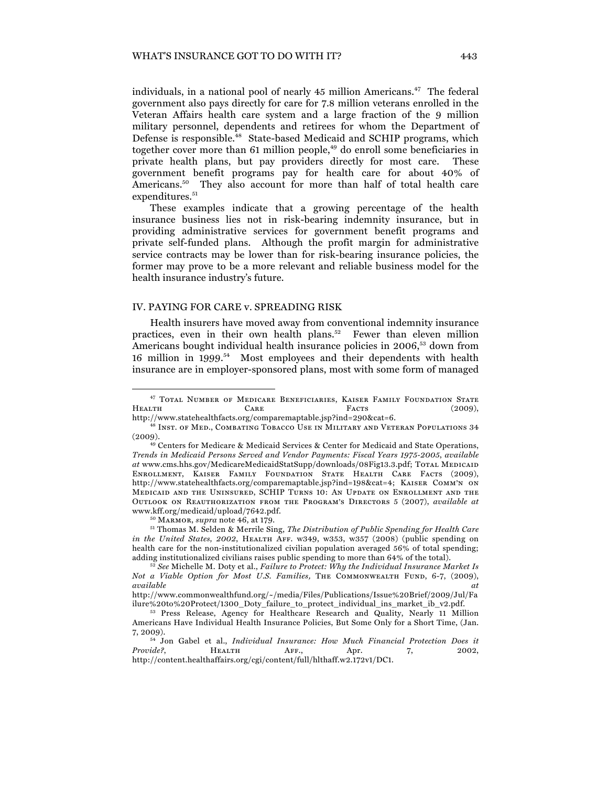individuals, in a national pool of nearly 45 million Americans.<sup>47</sup> The federal government also pays directly for care for 7.8 million veterans enrolled in the Veteran Affairs health care system and a large fraction of the 9 million military personnel, dependents and retirees for whom the Department of Defense is responsible.<sup>48</sup> State-based Medicaid and SCHIP programs, which together cover more than 61 million people, $49$  do enroll some beneficiaries in private health plans, but pay providers directly for most care. These government benefit programs pay for health care for about 40% of Americans.<sup>50</sup> They also account for more than half of total health care expenditures.<sup>51</sup>

These examples indicate that a growing percentage of the health insurance business lies not in risk-bearing indemnity insurance, but in providing administrative services for government benefit programs and private self-funded plans. Although the profit margin for administrative service contracts may be lower than for risk-bearing insurance policies, the former may prove to be a more relevant and reliable business model for the health insurance industry's future.

#### IV. PAYING FOR CARE v. SPREADING RISK

Health insurers have moved away from conventional indemnity insurance practices, even in their own health plans.<sup>52</sup> Fewer than eleven million Americans bought individual health insurance policies in 2006,<sup>53</sup> down from 16 million in 1999.54 Most employees and their dependents with health insurance are in employer-sponsored plans, most with some form of managed

<sup>50</sup> Marmor, *supra* note 46, at 179.

<sup>47</sup> Total Number of Medicare Beneficiaries, Kaiser Family Foundation State HEALTH CARE FACTS (2009),

http://www.statehealthfacts.org/comparemaptable.jsp?ind=290&cat=6.<br><sup>48</sup> Inst. of Med., Combating Tobacco Use in Military and Veteran Populations 34 (2009).

<sup>49</sup> Centers for Medicare & Medicaid Services & Center for Medicaid and State Operations, *Trends in Medicaid Persons Served and Vendor Payments: Fiscal Years 1975-2005*, *available at* www.cms.hhs.gov/MedicareMedicaidStatSupp/downloads/08Fig13.3.pdf; Total Medicaid Enrollment, Kaiser Family Foundation State Health Care Facts (2009), http://www.statehealthfacts.org/comparemaptable.jsp?ind=198&cat=4; Kaiser Comm'n on Medicaid and the Uninsured, SCHIP Turns 10: An Update on Enrollment and the Outlook on Reauthorization from the Program's Directors 5 (2007), *available at* www.kff.org/medicaid/upload/7642.pdf.

<sup>51</sup> Thomas M. Selden & Merrile Sing, *The Distribution of Public Spending for Health Care in the United States, 2002, HEALTH AFF. w349, w353, w357 (2008) (public spending on* health care for the non-institutionalized civilian population averaged 56% of total spending; adding institutionalized civilians raises public spending to more than 64% of the total).

<sup>52</sup> *See* Michelle M. Doty et al., *Failure to Protect: Why the Individual Insurance Market Is Not a Viable Option for Most U.S. Families*, The COMMONWEALTH FUND, 6-7, (2009), *available at* 

http://www.commonwealthfund.org/~/media/Files/Publications/Issue%20Brief/2009/Jul/Fa ilure%20to%20Protect/1300\_Doty\_failure\_to\_protect\_individual\_ins\_market\_ib\_v2.pdf.

<sup>53</sup> Press Release, Agency for Healthcare Research and Quality, Nearly 11 Million Americans Have Individual Health Insurance Policies, But Some Only for a Short Time, (Jan. 7, 2009). 54 Jon Gabel et al., *Individual Insurance: How Much Financial Protection Does it* 

*Provide?*, **HEALTH** AFF., Apr. 7, 2002, http://content.healthaffairs.org/cgi/content/full/hlthaff.w2.172v1/DC1.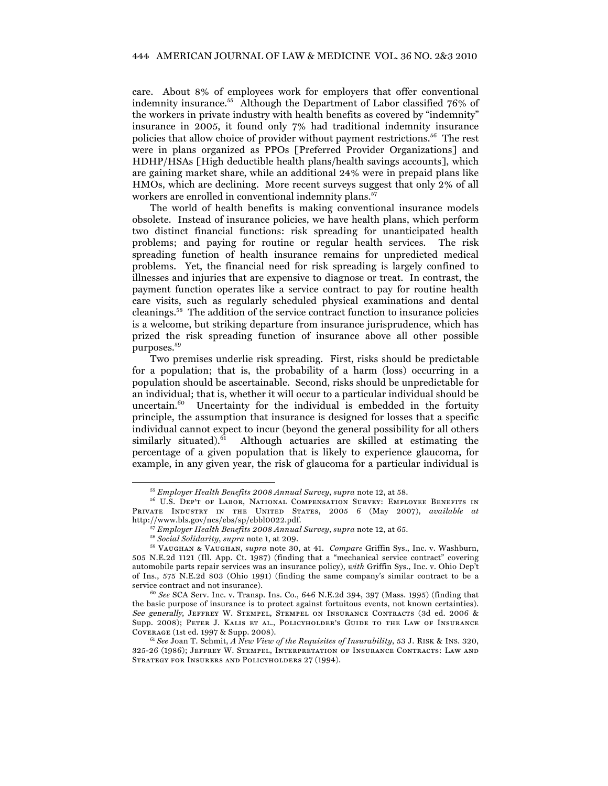care. About 8% of employees work for employers that offer conventional indemnity insurance.55 Although the Department of Labor classified 76% of the workers in private industry with health benefits as covered by "indemnity" insurance in 2005, it found only 7% had traditional indemnity insurance policies that allow choice of provider without payment restrictions.<sup>56</sup> The rest were in plans organized as PPOs [Preferred Provider Organizations] and HDHP/HSAs [High deductible health plans/health savings accounts], which are gaining market share, while an additional 24% were in prepaid plans like HMOs, which are declining. More recent surveys suggest that only 2% of all workers are enrolled in conventional indemnity plans.<sup>57</sup>

The world of health benefits is making conventional insurance models obsolete. Instead of insurance policies, we have health plans, which perform two distinct financial functions: risk spreading for unanticipated health problems; and paying for routine or regular health services. The risk spreading function of health insurance remains for unpredicted medical problems. Yet, the financial need for risk spreading is largely confined to illnesses and injuries that are expensive to diagnose or treat. In contrast, the payment function operates like a service contract to pay for routine health care visits, such as regularly scheduled physical examinations and dental cleanings.58 The addition of the service contract function to insurance policies is a welcome, but striking departure from insurance jurisprudence, which has prized the risk spreading function of insurance above all other possible purposes.59

Two premises underlie risk spreading. First, risks should be predictable for a population; that is, the probability of a harm (loss) occurring in a population should be ascertainable. Second, risks should be unpredictable for an individual; that is, whether it will occur to a particular individual should be uncertain.<sup>60</sup> Uncertainty for the individual is embedded in the fortuity principle, the assumption that insurance is designed for losses that a specific individual cannot expect to incur (beyond the general possibility for all others similarly situated). $61$  Although actuaries are skilled at estimating the percentage of a given population that is likely to experience glaucoma, for example, in any given year, the risk of glaucoma for a particular individual is

<sup>&</sup>lt;sup>55</sup> *Employer Health Benefits 2008 Annual Survey*, *supra* note 12, at 58.<br><sup>56</sup> U.S. Dep't of Labor, National Compensation Survey: Employee Benefits in PRIVATE INDUSTRY IN THE UNITED STATES, 2005 6 (May 2007), *available at* http://www.bls.gov/ncs/ebs/sp/ebbl0022.pdf.

 $h_{\text{max}}^{57}$  *Employer Health Benefits 2008 Annual Survey*, *supra* note 12, at 65.

<sup>58</sup> *Social Solidarity*, *supra* note 1, at 209.

<sup>59</sup> Vaughan & Vaughan, *supra* note 30, at 41. *Compare* Griffin Sys., Inc. v. Washburn, 505 N.E.2d 1121 (Ill. App. Ct. 1987) (finding that a "mechanical service contract" covering automobile parts repair services was an insurance policy), *with* Griffin Sys., Inc. v. Ohio Dep't of Ins., 575 N.E.2d 803 (Ohio 1991) (finding the same company's similar contract to be a service contract and not insurance).

<sup>60</sup> *See* SCA Serv. Inc. v. Transp. Ins. Co., 646 N.E.2d 394, 397 (Mass. 1995) (finding that the basic purpose of insurance is to protect against fortuitous events, not known certainties). See generally, Jeffrey W. Stempel, Stempel on Insurance Contracts (3d ed. 2006 & Supp. 2008); Peter J. Kalis et al., Policyholder's Guide to the Law of Insurance Coverage (1st ed. 1997 & Supp. 2008).

<sup>61</sup> *See* Joan T. Schmit, *A New View of the Requisites of Insurability*, 53 J. RISK & INS. 320, 325-26 (1986); Jeffrey W. Stempel, Interpretation of Insurance Contracts: Law and Strategy for Insurers and Policyholders 27 (1994).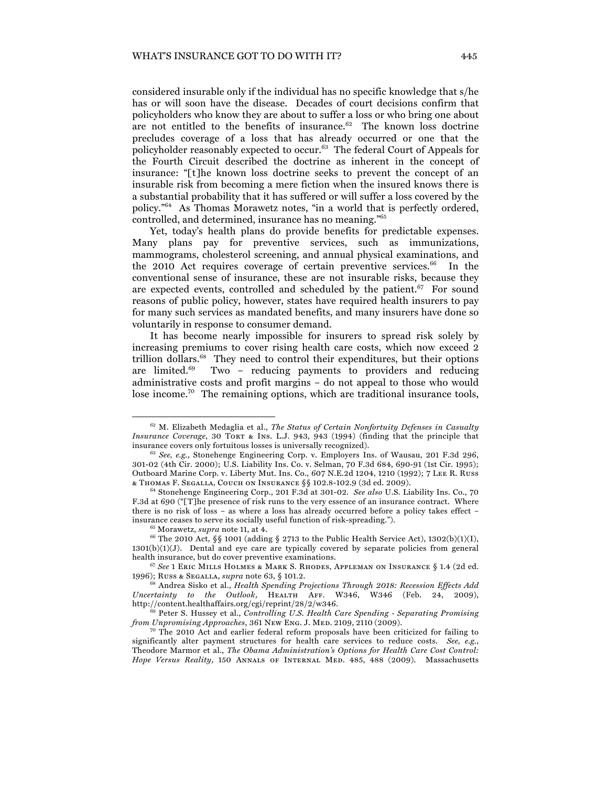considered insurable only if the individual has no specific knowledge that s/he has or will soon have the disease. Decades of court decisions confirm that policyholders who know they are about to suffer a loss or who bring one about are not entitled to the benefits of insurance. $62$  The known loss doctrine precludes coverage of a loss that has already occurred or one that the policyholder reasonably expected to occur.63 The federal Court of Appeals for the Fourth Circuit described the doctrine as inherent in the concept of insurance: "[t]he known loss doctrine seeks to prevent the concept of an insurable risk from becoming a mere fiction when the insured knows there is a substantial probability that it has suffered or will suffer a loss covered by the policy."64 As Thomas Morawetz notes, "in a world that is perfectly ordered, controlled, and determined, insurance has no meaning."65

Yet, today's health plans do provide benefits for predictable expenses. Many plans pay for preventive services, such as immunizations, mammograms, cholesterol screening, and annual physical examinations, and the 2010 Act requires coverage of certain preventive services.<sup>66</sup> In the conventional sense of insurance, these are not insurable risks, because they are expected events, controlled and scheduled by the patient. $67$  For sound reasons of public policy, however, states have required health insurers to pay for many such services as mandated benefits, and many insurers have done so voluntarily in response to consumer demand.

It has become nearly impossible for insurers to spread risk solely by increasing premiums to cover rising health care costs, which now exceed 2 trillion dollars.<sup>68</sup> They need to control their expenditures, but their options are limited.69 Two – reducing payments to providers and reducing administrative costs and profit margins – do not appeal to those who would lose income.<sup>70</sup> The remaining options, which are traditional insurance tools,

<sup>62</sup> M. Elizabeth Medaglia et al., *The Status of Certain Nonfortuity Defenses in Casualty Insurance Coverage*, 30 Tort & Ins. L.J. 943, 943 (1994) (finding that the principle that insurance covers only fortuitous losses is universally recognized).

<sup>63</sup> *See, e.g.*, Stonehenge Engineering Corp. v. Employers Ins. of Wausau, 201 F.3d 296, 301-02 (4th Cir. 2000); U.S. Liability Ins. Co. v. Selman, 70 F.3d 684, 690-91 (1st Cir. 1995); Outboard Marine Corp. v. Liberty Mut. Ins. Co., 607 N.E.2d 1204, 1210 (1992); 7 Lee R. Russ & Thomas F. Segalla, Couch on Insurance §§ 102.8-102.9 (3d ed. 2009).

<sup>64</sup> Stonehenge Engineering Corp., 201 F.3d at 301-02. *See also* U.S. Liability Ins. Co., 70 F.3d at 690 ("[T]he presence of risk runs to the very essence of an insurance contract. Where there is no risk of loss – as where a loss has already occurred before a policy takes effect – insurance ceases to serve its socially useful function of risk-spreading.").

<sup>65</sup> Morawetz, *supra* note 11, at 4.

<sup>66</sup> The 2010 Act, §§ 1001 (adding § 2713 to the Public Health Service Act), 1302(b)(1)(I),  $1301(b)(1)(J)$ . Dental and eye care are typically covered by separate policies from general health insurance, but do cover preventive examinations.

<sup>67</sup> *See* 1 Eric Mills Holmes & Mark S. Rhodes, Appleman on Insurance § 1.4 (2d ed. 1996); Russ & Segalla, *supra* note 63, § 101.2.

<sup>68</sup> Andrea Sisko et al., *Health Spending Projections Through 2018: Recession Effects Add Uncertainty to the Outlook*, Health Aff. W346, W346 (Feb. 24, 2009), http://content.healthaffairs.org/cgi/reprint/28/2/w346.

<sup>69</sup> Peter S. Hussey et al., *Controlling U.S. Health Care Spending - Separating Promising from Unpromising Approaches*, 361 New Eng. J. Med. 2109, 2110 (2009).<br><sup>70</sup> The 2010 Act and earlier federal reform proposals have been criticized for failing to

significantly alter payment structures for health care services to reduce costs. *See, e.g.*, Theodore Marmor et al., *The Obama Administration's Options for Health Care Cost Control: Hope Versus Reality*, 150 Annals of Internal Med. 485, 488 (2009). Massachusetts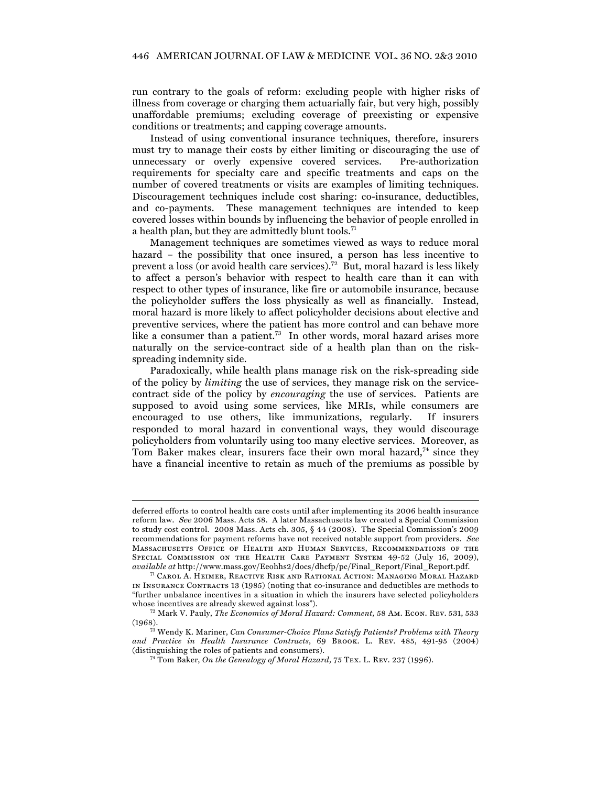run contrary to the goals of reform: excluding people with higher risks of illness from coverage or charging them actuarially fair, but very high, possibly unaffordable premiums; excluding coverage of preexisting or expensive conditions or treatments; and capping coverage amounts.

Instead of using conventional insurance techniques, therefore, insurers must try to manage their costs by either limiting or discouraging the use of unnecessary or overly expensive covered services. Pre-authorization requirements for specialty care and specific treatments and caps on the number of covered treatments or visits are examples of limiting techniques. Discouragement techniques include cost sharing: co-insurance, deductibles, and co-payments. These management techniques are intended to keep covered losses within bounds by influencing the behavior of people enrolled in a health plan, but they are admittedly blunt tools.<sup>71</sup>

Management techniques are sometimes viewed as ways to reduce moral hazard – the possibility that once insured, a person has less incentive to prevent a loss (or avoid health care services).<sup>72</sup> But, moral hazard is less likely to affect a person's behavior with respect to health care than it can with respect to other types of insurance, like fire or automobile insurance, because the policyholder suffers the loss physically as well as financially. Instead, moral hazard is more likely to affect policyholder decisions about elective and preventive services, where the patient has more control and can behave more like a consumer than a patient.<sup>73</sup> In other words, moral hazard arises more naturally on the service-contract side of a health plan than on the riskspreading indemnity side.

Paradoxically, while health plans manage risk on the risk-spreading side of the policy by *limiting* the use of services, they manage risk on the servicecontract side of the policy by *encouraging* the use of services. Patients are supposed to avoid using some services, like MRIs, while consumers are encouraged to use others, like immunizations, regularly. If insurers responded to moral hazard in conventional ways, they would discourage policyholders from voluntarily using too many elective services. Moreover, as Tom Baker makes clear, insurers face their own moral hazard, $74$  since they have a financial incentive to retain as much of the premiums as possible by

deferred efforts to control health care costs until after implementing its 2006 health insurance reform law. See 2006 Mass. Acts 58. A later Massachusetts law created a Special Commission to study cost control. 2008 Mass. Acts ch. 305, § 44 (2008). The Special Commission's 2009 recommendations for payment reforms have not received notable support from providers. See Massachusetts Office of Health and Human Services, Recommendations of the Special Commission on the Health Care Payment System 49-52 (July 16, 2009), *available at* http://www.mass.gov/Eeohhs2/docs/dhcfp/pc/Final\_Report/Final\_Report.pdf.

<sup>71</sup> Carol A. Heimer, Reactive Risk and Rational Action: Managing Moral Hazard in Insurance Contracts 13 (1985) (noting that co-insurance and deductibles are methods to "further unbalance incentives in a situation in which the insurers have selected policyholders whose incentives are already skewed against loss"). 72 Mark V. Pauly, *The Economics of Moral Hazard: Comment*, 58 Am. Econ. Rev. 531, <sup>533</sup>

<sup>(1968).</sup>

<sup>73</sup> Wendy K. Mariner, *Can Consumer-Choice Plans Satisfy Patients? Problems with Theory and Practice in Health Insurance Contracts*, 69 Brook. L. Rev. 485, 491-95 (2004) (distinguishing the roles of patients and consumers). 74 Tom Baker, *On the Genealogy of Moral Hazard*, 75 Tex. L. Rev. 237 (1996).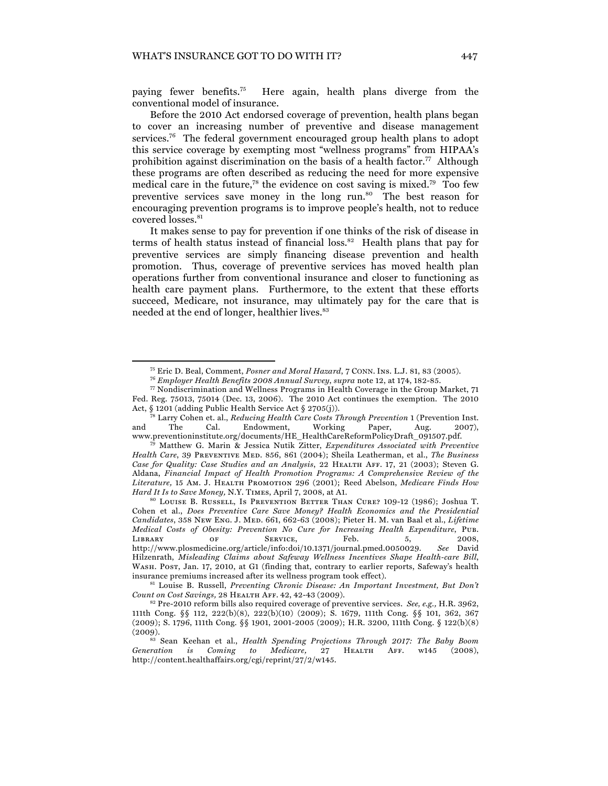$\overline{a}$ 

paying fewer benefits.75 Here again, health plans diverge from the conventional model of insurance.

Before the 2010 Act endorsed coverage of prevention, health plans began to cover an increasing number of preventive and disease management services.<sup>76</sup> The federal government encouraged group health plans to adopt this service coverage by exempting most "wellness programs" from HIPAA's prohibition against discrimination on the basis of a health factor.<sup>77</sup> Although these programs are often described as reducing the need for more expensive medical care in the future,<sup>78</sup> the evidence on cost saving is mixed.<sup>79</sup> Too few preventive services save money in the long run.<sup>80</sup> The best reason for encouraging prevention programs is to improve people's health, not to reduce covered losses.<sup>81</sup>

It makes sense to pay for prevention if one thinks of the risk of disease in terms of health status instead of financial loss.<sup>82</sup> Health plans that pay for preventive services are simply financing disease prevention and health promotion. Thus, coverage of preventive services has moved health plan operations further from conventional insurance and closer to functioning as health care payment plans. Furthermore, to the extent that these efforts succeed, Medicare, not insurance, may ultimately pay for the care that is needed at the end of longer, healthier lives.<sup>83</sup>

<sup>75</sup> Eric D. Beal, Comment, *Posner and Moral Hazard*, 7 CONN. Ins. L.J. 81, 83 (2005). 76 *Employer Health Benefits 2008 Annual Survey*, *supra* note 12, at 174, 182-85.

 $77$  Nondiscrimination and Wellness Programs in Health Coverage in the Group Market,  $71$ Fed. Reg. 75013, 75014 (Dec. 13, 2006). The 2010 Act continues the exemption. The 2010 Act, § 1201 (adding Public Health Service Act § 2705(j)).

<sup>78</sup> Larry Cohen et. al., *Reducing Health Care Costs Through Prevention* 1 (Prevention Inst. and The Cal. Endowment, Working Paper, Aug. 2007), www.preventioninstitute.org/documents/HE\_HealthCareReformPolicyDraft\_091507.pdf.

<sup>79</sup> Matthew G. Marin & Jessica Nutik Zitter, *Expenditures Associated with Preventive Health Care*, 39 Preventive Med. 856, 861 (2004); Sheila Leatherman, et al., *The Business Case for Quality: Case Studies and an Analysis*, 22 Health Aff. 17, 21 (2003); Steven G. Aldana, *Financial Impact of Health Promotion Programs: A Comprehensive Review of the Literature*, 15 Am. J. Health Promotion 296 (2001); Reed Abelson, *Medicare Finds How Hard It Is to Save Money*, N.Y. TIMES, April 7, 2008, at A1.<br><sup>80</sup> LOUISE B. RUSSELL, IS PREVENTION BETTER THAN CURE? 109-12 (1986); Joshua T.

Cohen et al., *Does Preventive Care Save Money? Health Economics and the Presidential Candidates*, 358 New Eng. J. Med. 661, 662-63 (2008); Pieter H. M. van Baal et al., *Lifetime Medical Costs of Obesity: Prevention No Cure for Increasing Health Expenditure*, Pub. LIBRARY OF SERVICE, Feb. 5, 2008, http://www.plosmedicine.org/article/info:doi/10.1371/journal.pmed.0050029. *See* David Hilzenrath, *Misleading Claims about Safeway Wellness Incentives Shape Health-care Bill*, Wash. Post, Jan. 17, 2010, at G1 (finding that, contrary to earlier reports, Safeway's health insurance premiums increased after its wellness program took effect).

<sup>81</sup> Louise B. Russell, *Preventing Chronic Disease: An Important Investment, But Don't Count on Cost Savings*, 28 Health Aff. 42, 42-43 (2009).

<sup>82</sup> Pre-2010 reform bills also required coverage of preventive services. *See, e.g.*, H.R. 3962, 111th Cong. §§ 112, 222(b)(8), 222(b)(10) (2009); S. 1679, 111th Cong. §§ 101, 362, 367 (2009); S. 1796, 111th Cong. §§ 1901, 2001-2005 (2009); H.R. 3200, 111th Cong. § 122(b)(8) (2009).

<sup>83</sup> Sean Keehan et al., *Health Spending Projections Through 2017: The Baby Boom Generation is Coming to Medicare*, 27 Health Aff. w145 (2008), http://content.healthaffairs.org/cgi/reprint/27/2/w145.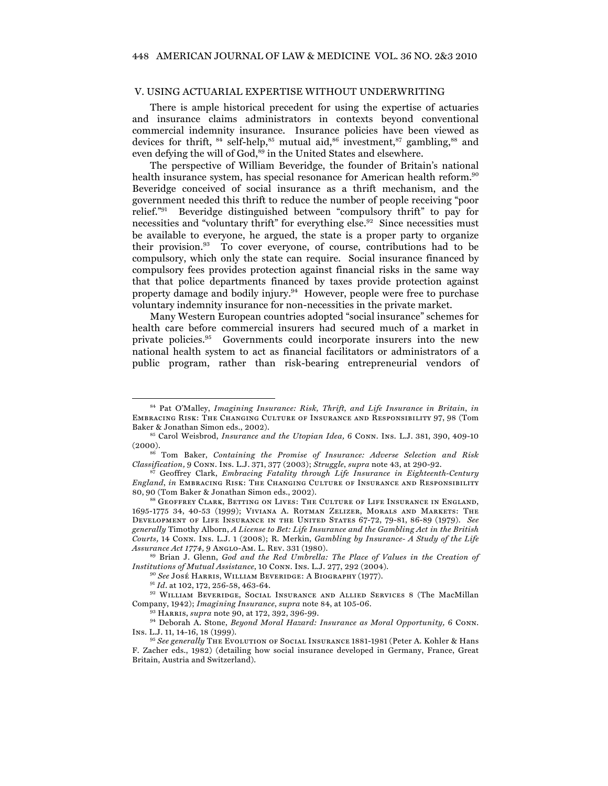#### V. USING ACTUARIAL EXPERTISE WITHOUT UNDERWRITING

There is ample historical precedent for using the expertise of actuaries and insurance claims administrators in contexts beyond conventional commercial indemnity insurance. Insurance policies have been viewed as devices for thrift,  $84$  self-help,  $85$  mutual aid,  $86$  investment,  $87$  gambling,  $88$  and even defying the will of God,<sup>89</sup> in the United States and elsewhere.

The perspective of William Beveridge, the founder of Britain's national health insurance system, has special resonance for American health reform.<sup>90</sup> Beveridge conceived of social insurance as a thrift mechanism, and the government needed this thrift to reduce the number of people receiving "poor relief."91 Beveridge distinguished between "compulsory thrift" to pay for necessities and "voluntary thrift" for everything else.<sup>92</sup> Since necessities must be available to everyone, he argued, the state is a proper party to organize their provision.93 To cover everyone, of course, contributions had to be compulsory, which only the state can require. Social insurance financed by compulsory fees provides protection against financial risks in the same way that that police departments financed by taxes provide protection against property damage and bodily injury.<sup>94</sup> However, people were free to purchase voluntary indemnity insurance for non-necessities in the private market.

Many Western European countries adopted "social insurance" schemes for health care before commercial insurers had secured much of a market in private policies.95 Governments could incorporate insurers into the new national health system to act as financial facilitators or administrators of a public program, rather than risk-bearing entrepreneurial vendors of

<sup>84</sup> Pat O'Malley, *Imagining Insurance: Risk, Thrift, and Life Insurance in Britain*, *in* Embracing Risk: The Changing Culture of Insurance and Responsibility 97, 98 (Tom Baker & Jonathan Simon eds., 2002).

<sup>85</sup> Carol Weisbrod, *Insurance and the Utopian Idea*, 6 Conn. Ins. L.J. 381, 390, 409-10 (2000).

<sup>86</sup> Tom Baker, *Containing the Promise of Insurance: Adverse Selection and Risk Classification*, 9 Conn. Ins. L.J. 371, 377 (2003); *Struggle*, *supra* note 43, at 290-92.

<sup>87</sup> Geoffrey Clark, *Embracing Fatality through Life Insurance in Eighteenth-Century England*, *in* Embracing Risk: The Changing Culture of Insurance and Responsibility 80, 90 (Tom Baker & Jonathan Simon eds., 2002).

<sup>88</sup> Geoffrey Clark, Betting on Lives: The Culture of Life Insurance in England, 1695-1775 34, 40-53 (1999); Viviana A. Rotman Zelizer, Morals and Markets: The Development of Life Insurance in the United States 67-72, 79-81, 86-89 (1979). *See generally* Timothy Alborn, *A License to Bet: Life Insurance and the Gambling Act in the British Courts*, 14 Conn. Ins. L.J. 1 (2008); R. Merkin, *Gambling by Insurance- A Study of the Life Assurance Act 1774*, 9 Anglo-Am. L. Rev. 331 (1980). 89 Brian J. Glenn, *God and the Red Umbrella: The Place of Values in the Creation of* 

*Institutions of Mutual Assistance*, 10 Conn. Ins. L.J. 277, 292 (2004).

<sup>90</sup> *See* José Harris, William Beveridge: A Biography (1977).

<sup>91</sup> *Id*. at 102, 172, 256-58, 463-64.

<sup>92</sup> William Beveridge, Social Insurance and Allied Services 8 (The MacMillan Company, 1942); *Imagining Insurance*, *supra* note 84, at 105-06.

<sup>93</sup> Harris, *supra* note 90, at 172, 392, 396-99.

<sup>94</sup> Deborah A. Stone, *Beyond Moral Hazard: Insurance as Moral Opportunity*, 6 Conn. Ins. L.J. 11, 14-16, 18 (1999).

<sup>95</sup> *See generally* The Evolution of Social Insurance 1881-1981 (Peter A. Kohler & Hans F. Zacher eds., 1982) (detailing how social insurance developed in Germany, France, Great Britain, Austria and Switzerland).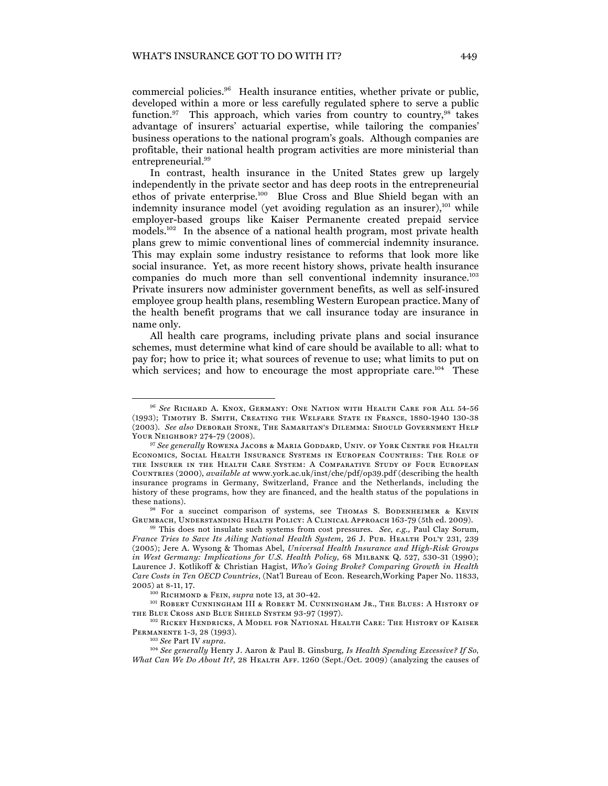commercial policies.<sup>96</sup> Health insurance entities, whether private or public, developed within a more or less carefully regulated sphere to serve a public function. $97$  This approach, which varies from country to country,  $98$  takes advantage of insurers' actuarial expertise, while tailoring the companies' business operations to the national program's goals. Although companies are profitable, their national health program activities are more ministerial than entrepreneurial.<sup>99</sup>

In contrast, health insurance in the United States grew up largely independently in the private sector and has deep roots in the entrepreneurial ethos of private enterprise.100 Blue Cross and Blue Shield began with an indemnity insurance model (yet avoiding regulation as an insurer), $101$  while employer-based groups like Kaiser Permanente created prepaid service models.<sup>102</sup> In the absence of a national health program, most private health plans grew to mimic conventional lines of commercial indemnity insurance. This may explain some industry resistance to reforms that look more like social insurance. Yet, as more recent history shows, private health insurance companies do much more than sell conventional indemnity insurance.<sup>103</sup> Private insurers now administer government benefits, as well as self-insured employee group health plans, resembling Western European practice. Many of the health benefit programs that we call insurance today are insurance in name only.

All health care programs, including private plans and social insurance schemes, must determine what kind of care should be available to all: what to pay for; how to price it; what sources of revenue to use; what limits to put on which services; and how to encourage the most appropriate care.<sup>104</sup> These

<sup>96</sup> *See* Richard A. Knox, Germany: One Nation with Health Care for All 54-56 (1993); Timothy B. Smith, Creating the Welfare State in France, 1880-1940 130-38 (2003). *See also* Deborah Stone, The Samaritan's Dilemma: Should Government Help Your Neighbor? 274-79 (2008).

<sup>97</sup> *See generally* Rowena Jacobs & Maria Goddard, Univ. of York Centre for Health Economics, Social Health Insurance Systems in European Countries: The Role of the Insurer in the Health Care System: A Comparative Study of Four European Countries (2000), *available at* www.york.ac.uk/inst/che/pdf/op39.pdf (describing the health insurance programs in Germany, Switzerland, France and the Netherlands, including the history of these programs, how they are financed, and the health status of the populations in these nations).

<sup>&</sup>lt;sup>98</sup> For a succinct comparison of systems, see Thomas S. BODENHEIMER & KEVIN Grumbach, Understanding Health Policy: A Clinical Approach 163-79 (5th ed. 2009).

<sup>99</sup> This does not insulate such systems from cost pressures. *See, e.g.*, Paul Clay Sorum, *France Tries to Save Its Ailing National Health System*, 26 J. Pub. Health Pol'y 231, 239 (2005); Jere A. Wysong & Thomas Abel, *Universal Health Insurance and High-Risk Groups in West Germany: Implications for U.S. Health Policy*, 68 Milbank Q. 527, 530-31 (1990); Laurence J. Kotlikoff & Christian Hagist, *Who's Going Broke? Comparing Growth in Health Care Costs in Ten OECD Countries*, (Nat'l Bureau of Econ. Research,Working Paper No. 11833, 2005) at 8-11, 17.

<sup>100</sup> Richmond & Fein, *supra* note 13, at 30-42.

<sup>&</sup>lt;sup>101</sup> ROBERT CUNNINGHAM III & ROBERT M. CUNNINGHAM JR., THE BLUES: A HISTORY OF the Blue Cross and Blue Shield System 93-97 (1997).

<sup>102</sup> Rickey Hendricks, A Model for National Health Care: The History of Kaiser Permanente 1-3, 28 (1993).

<sup>103</sup> *See* Part IV *supra*.

<sup>104</sup> *See generally* Henry J. Aaron & Paul B. Ginsburg, *Is Health Spending Excessive? If So, What Can We Do About It?*, 28 HEALTH AFF. 1260 (Sept./Oct. 2009) (analyzing the causes of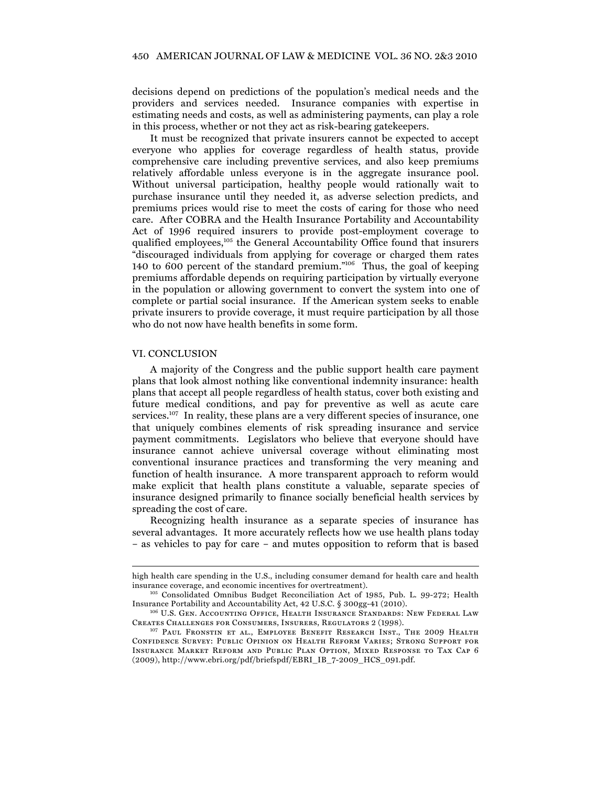decisions depend on predictions of the population's medical needs and the providers and services needed. Insurance companies with expertise in estimating needs and costs, as well as administering payments, can play a role in this process, whether or not they act as risk-bearing gatekeepers.

It must be recognized that private insurers cannot be expected to accept everyone who applies for coverage regardless of health status, provide comprehensive care including preventive services, and also keep premiums relatively affordable unless everyone is in the aggregate insurance pool. Without universal participation, healthy people would rationally wait to purchase insurance until they needed it, as adverse selection predicts, and premiums prices would rise to meet the costs of caring for those who need care. After COBRA and the Health Insurance Portability and Accountability Act of 1996 required insurers to provide post-employment coverage to qualified employees,<sup>105</sup> the General Accountability Office found that insurers "discouraged individuals from applying for coverage or charged them rates 140 to 600 percent of the standard premium."106 Thus, the goal of keeping premiums affordable depends on requiring participation by virtually everyone in the population or allowing government to convert the system into one of complete or partial social insurance. If the American system seeks to enable private insurers to provide coverage, it must require participation by all those who do not now have health benefits in some form.

#### VI. CONCLUSION

 $\overline{a}$ 

A majority of the Congress and the public support health care payment plans that look almost nothing like conventional indemnity insurance: health plans that accept all people regardless of health status, cover both existing and future medical conditions, and pay for preventive as well as acute care services.<sup>107</sup> In reality, these plans are a very different species of insurance, one that uniquely combines elements of risk spreading insurance and service payment commitments. Legislators who believe that everyone should have insurance cannot achieve universal coverage without eliminating most conventional insurance practices and transforming the very meaning and function of health insurance. A more transparent approach to reform would make explicit that health plans constitute a valuable, separate species of insurance designed primarily to finance socially beneficial health services by spreading the cost of care.

Recognizing health insurance as a separate species of insurance has several advantages. It more accurately reflects how we use health plans today – as vehicles to pay for care – and mutes opposition to reform that is based

high health care spending in the U.S., including consumer demand for health care and health insurance coverage, and economic incentives for overtreatment).

<sup>105</sup> Consolidated Omnibus Budget Reconciliation Act of 1985, Pub. L. 99-272; Health Insurance Portability and Accountability Act, 42 U.S.C. § 300gg-41 (2010).

<sup>106</sup> U.S. Gen. Accounting Office, Health Insurance Standards: New Federal Law CREATES CHALLENGES FOR CONSUMERS, INSURERS, REGULATORS 2 (1998). <sup>107</sup> Paul Fronstin et al., Employee Benefit Research Inst., The 2009 Health

Confidence Survey: Public Opinion on Health Reform Varies; Strong Support for Insurance Market Reform and Public Plan Option, Mixed Response to Tax Cap 6 (2009), http://www.ebri.org/pdf/briefspdf/EBRI\_IB\_7-2009\_HCS\_091.pdf.